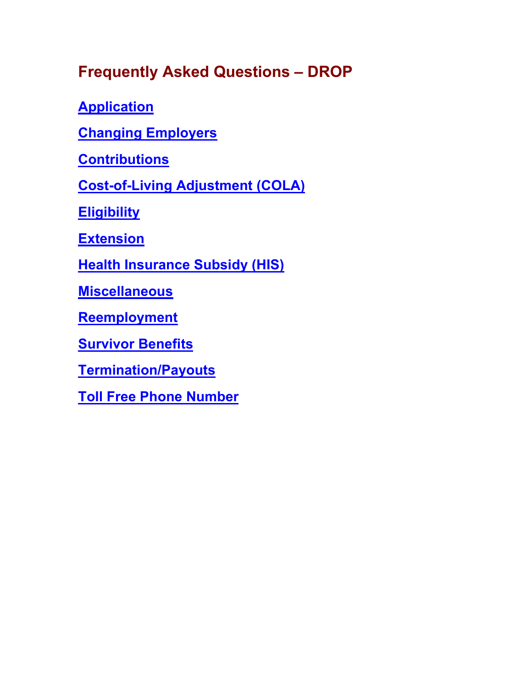# **Frequently Asked Questions – DROP**

**[Application](#page-1-0)**

**[Changing Employers](#page-1-1)**

**[Contributions](#page-1-2)**

**[Cost-of-Living Adjustment](#page-2-0) (COLA)**

**[Eligibility](#page-2-1)**

**[Extension](#page-3-0)**

**[Health Insurance Subsidy \(HIS\)](#page-4-0)**

**[Miscellaneous](#page-4-1)**

**[Reemployment](#page-6-0)**

**[Survivor Benefits](#page-7-0)**

**[Termination/Payouts](#page-7-1)**

**[Toll Free Phone Number](#page-9-0)**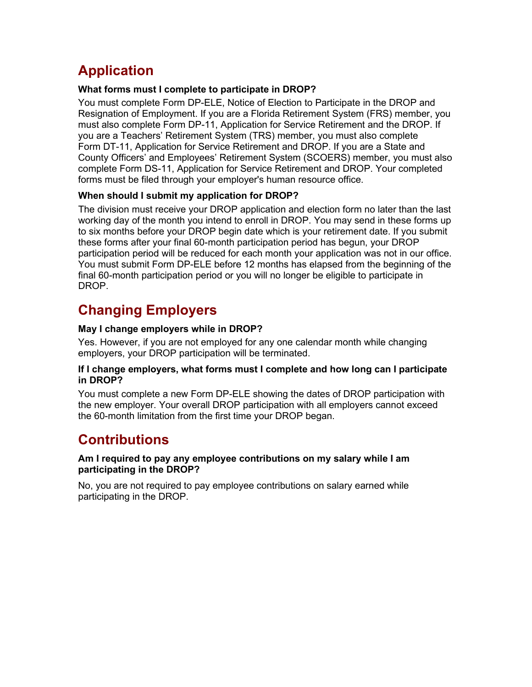# <span id="page-1-0"></span>**Application**

### **What forms must I complete to participate in DROP?**

You must complete Form DP-ELE, Notice of Election to Participate in the DROP and Resignation of Employment. If you are a Florida Retirement System (FRS) member, you must also complete Form DP-11, Application for Service Retirement and the DROP. If you are a Teachers' Retirement System (TRS) member, you must also complete Form DT-11, Application for Service Retirement and DROP. If you are a State and County Officers' and Employees' Retirement System (SCOERS) member, you must also complete Form DS-11, Application for Service Retirement and DROP. Your completed forms must be filed through your employer's human resource office.

### **When should I submit my application for DROP?**

The division must receive your DROP application and election form no later than the last working day of the month you intend to enroll in DROP. You may send in these forms up to six months before your DROP begin date which is your retirement date. If you submit these forms after your final 60-month participation period has begun, your DROP participation period will be reduced for each month your application was not in our office. You must submit Form DP-ELE before 12 months has elapsed from the beginning of the final 60-month participation period or you will no longer be eligible to participate in DROP.

# <span id="page-1-1"></span>**Changing Employers**

### **May I change employers while in DROP?**

Yes. However, if you are not employed for any one calendar month while changing employers, your DROP participation will be terminated.

#### **If I change employers, what forms must I complete and how long can I participate in DROP?**

You must complete a new Form DP-ELE showing the dates of DROP participation with the new employer. Your overall DROP participation with all employers cannot exceed the 60-month limitation from the first time your DROP began.

# <span id="page-1-2"></span>**Contributions**

#### **Am I required to pay any employee contributions on my salary while I am participating in the DROP?**

No, you are not required to pay employee contributions on salary earned while participating in the DROP.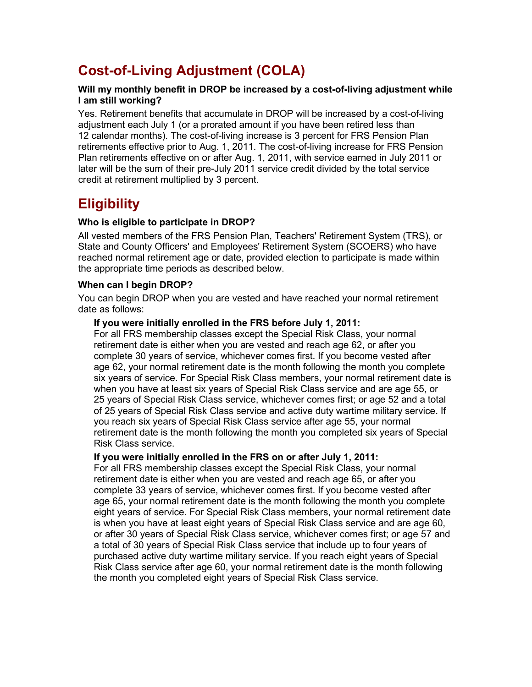# <span id="page-2-0"></span>**Cost-of-Living Adjustment (COLA)**

#### **Will my monthly benefit in DROP be increased by a cost-of-living adjustment while I am still working?**

Yes. Retirement benefits that accumulate in DROP will be increased by a cost-of-living adjustment each July 1 (or a prorated amount if you have been retired less than 12 calendar months). The cost-of-living increase is 3 percent for FRS Pension Plan retirements effective prior to Aug. 1, 2011. The cost-of-living increase for FRS Pension Plan retirements effective on or after Aug. 1, 2011, with service earned in July 2011 or later will be the sum of their pre-July 2011 service credit divided by the total service credit at retirement multiplied by 3 percent.

# <span id="page-2-1"></span>**Eligibility**

#### **Who is eligible to participate in DROP?**

All vested members of the FRS Pension Plan, Teachers' Retirement System (TRS), or State and County Officers' and Employees' Retirement System (SCOERS) who have reached normal retirement age or date, provided election to participate is made within the appropriate time periods as described below.

#### **When can I begin DROP?**

You can begin DROP when you are vested and have reached your normal retirement date as follows:

#### **If you were initially enrolled in the FRS before July 1, 2011:**

For all FRS membership classes except the Special Risk Class, your normal retirement date is either when you are vested and reach age 62, or after you complete 30 years of service, whichever comes first. If you become vested after age 62, your normal retirement date is the month following the month you complete six years of service. For Special Risk Class members, your normal retirement date is when you have at least six years of Special Risk Class service and are age 55, or 25 years of Special Risk Class service, whichever comes first; or age 52 and a total of 25 years of Special Risk Class service and active duty wartime military service. If you reach six years of Special Risk Class service after age 55, your normal retirement date is the month following the month you completed six years of Special Risk Class service.

#### **If you were initially enrolled in the FRS on or after July 1, 2011:**

For all FRS membership classes except the Special Risk Class, your normal retirement date is either when you are vested and reach age 65, or after you complete 33 years of service, whichever comes first. If you become vested after age 65, your normal retirement date is the month following the month you complete eight years of service. For Special Risk Class members, your normal retirement date is when you have at least eight years of Special Risk Class service and are age 60, or after 30 years of Special Risk Class service, whichever comes first; or age 57 and a total of 30 years of Special Risk Class service that include up to four years of purchased active duty wartime military service. If you reach eight years of Special Risk Class service after age 60, your normal retirement date is the month following the month you completed eight years of Special Risk Class service.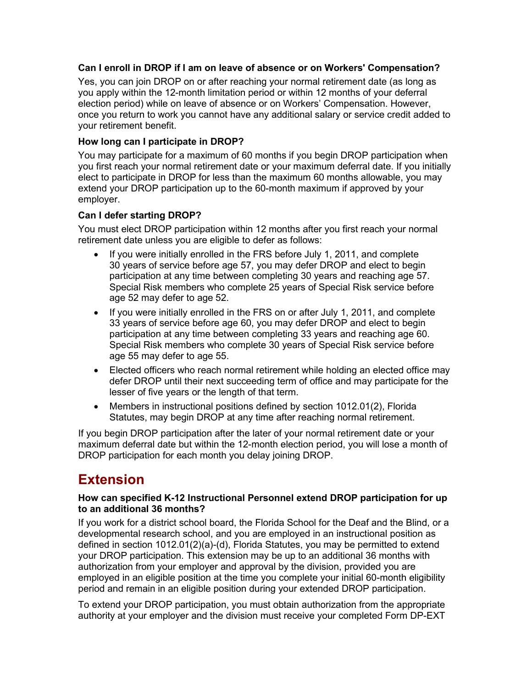#### **Can I enroll in DROP if I am on leave of absence or on Workers' Compensation?**

Yes, you can join DROP on or after reaching your normal retirement date (as long as you apply within the 12-month limitation period or within 12 months of your deferral election period) while on leave of absence or on Workers' Compensation. However, once you return to work you cannot have any additional salary or service credit added to your retirement benefit.

#### **How long can I participate in DROP?**

You may participate for a maximum of 60 months if you begin DROP participation when you first reach your normal retirement date or your maximum deferral date. If you initially elect to participate in DROP for less than the maximum 60 months allowable, you may extend your DROP participation up to the 60-month maximum if approved by your employer.

#### **Can I defer starting DROP?**

You must elect DROP participation within 12 months after you first reach your normal retirement date unless you are eligible to defer as follows:

- If you were initially enrolled in the FRS before July 1, 2011, and complete 30 years of service before age 57, you may defer DROP and elect to begin participation at any time between completing 30 years and reaching age 57. Special Risk members who complete 25 years of Special Risk service before age 52 may defer to age 52.
- If you were initially enrolled in the FRS on or after July 1, 2011, and complete 33 years of service before age 60, you may defer DROP and elect to begin participation at any time between completing 33 years and reaching age 60. Special Risk members who complete 30 years of Special Risk service before age 55 may defer to age 55.
- Elected officers who reach normal retirement while holding an elected office may defer DROP until their next succeeding term of office and may participate for the lesser of five years or the length of that term.
- Members in instructional positions defined by section 1012.01(2), Florida Statutes, may begin DROP at any time after reaching normal retirement.

If you begin DROP participation after the later of your normal retirement date or your maximum deferral date but within the 12-month election period, you will lose a month of DROP participation for each month you delay joining DROP.

### <span id="page-3-0"></span>**Extension**

#### **How can specified K-12 Instructional Personnel extend DROP participation for up to an additional 36 months?**

If you work for a district school board, the Florida School for the Deaf and the Blind, or a developmental research school, and you are employed in an instructional position as defined in section 1012.01(2)(a)-(d), Florida Statutes, you may be permitted to extend your DROP participation. This extension may be up to an additional 36 months with authorization from your employer and approval by the division, provided you are employed in an eligible position at the time you complete your initial 60-month eligibility period and remain in an eligible position during your extended DROP participation.

To extend your DROP participation, you must obtain authorization from the appropriate authority at your employer and the division must receive your completed Form DP-EXT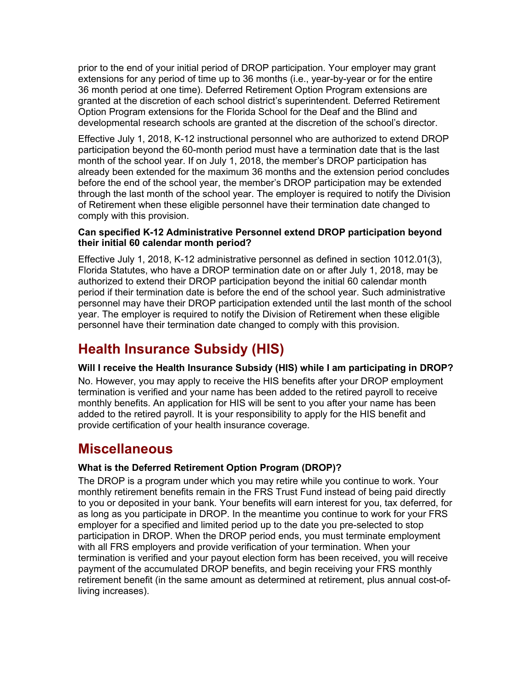prior to the end of your initial period of DROP participation. Your employer may grant extensions for any period of time up to 36 months (i.e., year-by-year or for the entire 36 month period at one time). Deferred Retirement Option Program extensions are granted at the discretion of each school district's superintendent. Deferred Retirement Option Program extensions for the Florida School for the Deaf and the Blind and developmental research schools are granted at the discretion of the school's director.

Effective July 1, 2018, K-12 instructional personnel who are authorized to extend DROP participation beyond the 60-month period must have a termination date that is the last month of the school year. If on July 1, 2018, the member's DROP participation has already been extended for the maximum 36 months and the extension period concludes before the end of the school year, the member's DROP participation may be extended through the last month of the school year. The employer is required to notify the Division of Retirement when these eligible personnel have their termination date changed to comply with this provision.

#### **Can specified K-12 Administrative Personnel extend DROP participation beyond their initial 60 calendar month period?**

Effective July 1, 2018, K-12 administrative personnel as defined in section 1012.01(3), Florida Statutes, who have a DROP termination date on or after July 1, 2018, may be authorized to extend their DROP participation beyond the initial 60 calendar month period if their termination date is before the end of the school year. Such administrative personnel may have their DROP participation extended until the last month of the school year. The employer is required to notify the Division of Retirement when these eligible personnel have their termination date changed to comply with this provision.

## <span id="page-4-0"></span>**Health Insurance Subsidy (HIS)**

### **Will I receive the Health Insurance Subsidy (HIS) while I am participating in DROP?**

No. However, you may apply to receive the HIS benefits after your DROP employment termination is verified and your name has been added to the retired payroll to receive monthly benefits. An application for HIS will be sent to you after your name has been added to the retired payroll. It is your responsibility to apply for the HIS benefit and provide certification of your health insurance coverage.

### <span id="page-4-1"></span>**Miscellaneous**

#### **What is the Deferred Retirement Option Program (DROP)?**

The DROP is a program under which you may retire while you continue to work. Your monthly retirement benefits remain in the FRS Trust Fund instead of being paid directly to you or deposited in your bank. Your benefits will earn interest for you, tax deferred, for as long as you participate in DROP. In the meantime you continue to work for your FRS employer for a specified and limited period up to the date you pre-selected to stop participation in DROP. When the DROP period ends, you must terminate employment with all FRS employers and provide verification of your termination. When your termination is verified and your payout election form has been received, you will receive payment of the accumulated DROP benefits, and begin receiving your FRS monthly retirement benefit (in the same amount as determined at retirement, plus annual cost-ofliving increases).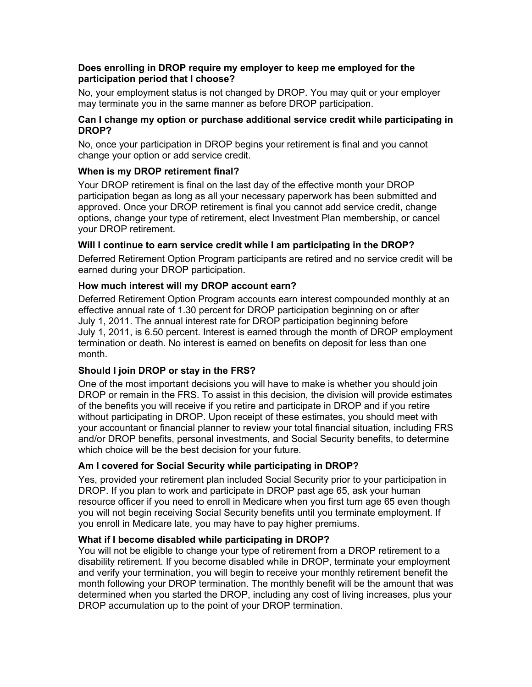#### **Does enrolling in DROP require my employer to keep me employed for the participation period that I choose?**

No, your employment status is not changed by DROP. You may quit or your employer may terminate you in the same manner as before DROP participation.

#### **Can I change my option or purchase additional service credit while participating in DROP?**

No, once your participation in DROP begins your retirement is final and you cannot change your option or add service credit.

#### **When is my DROP retirement final?**

Your DROP retirement is final on the last day of the effective month your DROP participation began as long as all your necessary paperwork has been submitted and approved. Once your DROP retirement is final you cannot add service credit, change options, change your type of retirement, elect Investment Plan membership, or cancel your DROP retirement.

### **Will I continue to earn service credit while I am participating in the DROP?**

Deferred Retirement Option Program participants are retired and no service credit will be earned during your DROP participation.

#### **How much interest will my DROP account earn?**

Deferred Retirement Option Program accounts earn interest compounded monthly at an effective annual rate of 1.30 percent for DROP participation beginning on or after July 1, 2011. The annual interest rate for DROP participation beginning before July 1, 2011, is 6.50 percent. Interest is earned through the month of DROP employment termination or death. No interest is earned on benefits on deposit for less than one month.

#### **Should I join DROP or stay in the FRS?**

One of the most important decisions you will have to make is whether you should join DROP or remain in the FRS. To assist in this decision, the division will provide estimates of the benefits you will receive if you retire and participate in DROP and if you retire without participating in DROP. Upon receipt of these estimates, you should meet with your accountant or financial planner to review your total financial situation, including FRS and/or DROP benefits, personal investments, and Social Security benefits, to determine which choice will be the best decision for your future.

#### **Am I covered for Social Security while participating in DROP?**

Yes, provided your retirement plan included Social Security prior to your participation in DROP. If you plan to work and participate in DROP past age 65, ask your human resource officer if you need to enroll in Medicare when you first turn age 65 even though you will not begin receiving Social Security benefits until you terminate employment. If you enroll in Medicare late, you may have to pay higher premiums.

### **What if I become disabled while participating in DROP?**

You will not be eligible to change your type of retirement from a DROP retirement to a disability retirement. If you become disabled while in DROP, terminate your employment and verify your termination, you will begin to receive your monthly retirement benefit the month following your DROP termination. The monthly benefit will be the amount that was determined when you started the DROP, including any cost of living increases, plus your DROP accumulation up to the point of your DROP termination.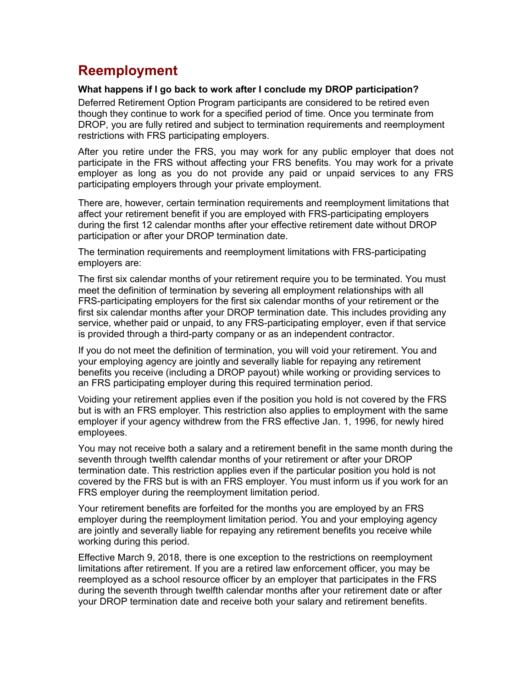## <span id="page-6-0"></span>**Reemployment**

#### **What happens if I go back to work after I conclude my DROP participation?**

Deferred Retirement Option Program participants are considered to be retired even though they continue to work for a specified period of time. Once you terminate from DROP, you are fully retired and subject to termination requirements and reemployment restrictions with FRS participating employers.

After you retire under the FRS, you may work for any public employer that does not participate in the FRS without affecting your FRS benefits. You may work for a private employer as long as you do not provide any paid or unpaid services to any FRS participating employers through your private employment.

There are, however, certain termination requirements and reemployment limitations that affect your retirement benefit if you are employed with FRS-participating employers during the first 12 calendar months after your effective retirement date without DROP participation or after your DROP termination date.

The termination requirements and reemployment limitations with FRS-participating employers are:

The first six calendar months of your retirement require you to be terminated. You must meet the definition of termination by severing all employment relationships with all FRS-participating employers for the first six calendar months of your retirement or the first six calendar months after your DROP termination date. This includes providing any service, whether paid or unpaid, to any FRS-participating employer, even if that service is provided through a third-party company or as an independent contractor.

If you do not meet the definition of termination, you will void your retirement. You and your employing agency are jointly and severally liable for repaying any retirement benefits you receive (including a DROP payout) while working or providing services to an FRS participating employer during this required termination period.

Voiding your retirement applies even if the position you hold is not covered by the FRS but is with an FRS employer. This restriction also applies to employment with the same employer if your agency withdrew from the FRS effective Jan. 1, 1996, for newly hired employees.

You may not receive both a salary and a retirement benefit in the same month during the seventh through twelfth calendar months of your retirement or after your DROP termination date. This restriction applies even if the particular position you hold is not covered by the FRS but is with an FRS employer. You must inform us if you work for an FRS employer during the reemployment limitation period.

Your retirement benefits are forfeited for the months you are employed by an FRS employer during the reemployment limitation period. You and your employing agency are jointly and severally liable for repaying any retirement benefits you receive while working during this period.

Effective March 9, 2018, there is one exception to the restrictions on reemployment limitations after retirement. If you are a retired law enforcement officer, you may be reemployed as a school resource officer by an employer that participates in the FRS during the seventh through twelfth calendar months after your retirement date or after your DROP termination date and receive both your salary and retirement benefits.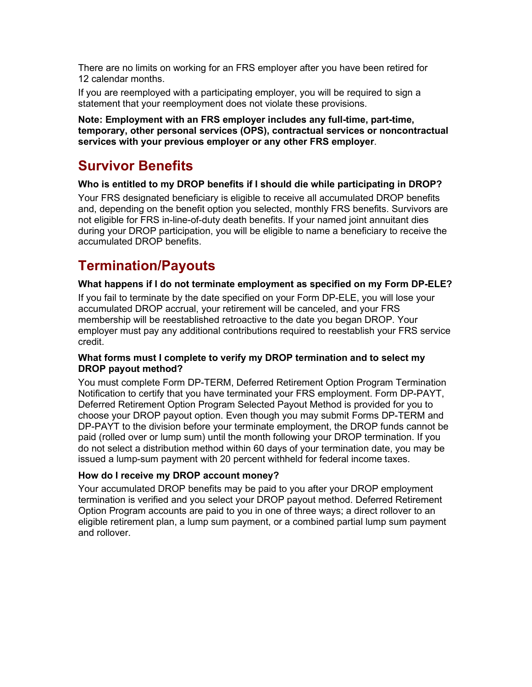There are no limits on working for an FRS employer after you have been retired for 12 calendar months.

If you are reemployed with a participating employer, you will be required to sign a statement that your reemployment does not violate these provisions.

**Note: Employment with an FRS employer includes any full-time, part-time, temporary, other personal services (OPS), contractual services or noncontractual services with your previous employer or any other FRS employer**.

## <span id="page-7-0"></span>**Survivor Benefits**

#### **Who is entitled to my DROP benefits if I should die while participating in DROP?**

Your FRS designated beneficiary is eligible to receive all accumulated DROP benefits and, depending on the benefit option you selected, monthly FRS benefits. Survivors are not eligible for FRS in-line-of-duty death benefits. If your named joint annuitant dies during your DROP participation, you will be eligible to name a beneficiary to receive the accumulated DROP benefits.

# <span id="page-7-1"></span>**Termination/Payouts**

#### **What happens if I do not terminate employment as specified on my Form DP-ELE?**

If you fail to terminate by the date specified on your Form DP-ELE, you will lose your accumulated DROP accrual, your retirement will be canceled, and your FRS membership will be reestablished retroactive to the date you began DROP. Your employer must pay any additional contributions required to reestablish your FRS service credit.

#### **What forms must I complete to verify my DROP termination and to select my DROP payout method?**

You must complete Form DP-TERM, Deferred Retirement Option Program Termination Notification to certify that you have terminated your FRS employment. Form DP-PAYT, Deferred Retirement Option Program Selected Payout Method is provided for you to choose your DROP payout option. Even though you may submit Forms DP-TERM and DP-PAYT to the division before your terminate employment, the DROP funds cannot be paid (rolled over or lump sum) until the month following your DROP termination. If you do not select a distribution method within 60 days of your termination date, you may be issued a lump-sum payment with 20 percent withheld for federal income taxes.

#### **How do I receive my DROP account money?**

Your accumulated DROP benefits may be paid to you after your DROP employment termination is verified and you select your DROP payout method. Deferred Retirement Option Program accounts are paid to you in one of three ways; a direct rollover to an eligible retirement plan, a lump sum payment, or a combined partial lump sum payment and rollover.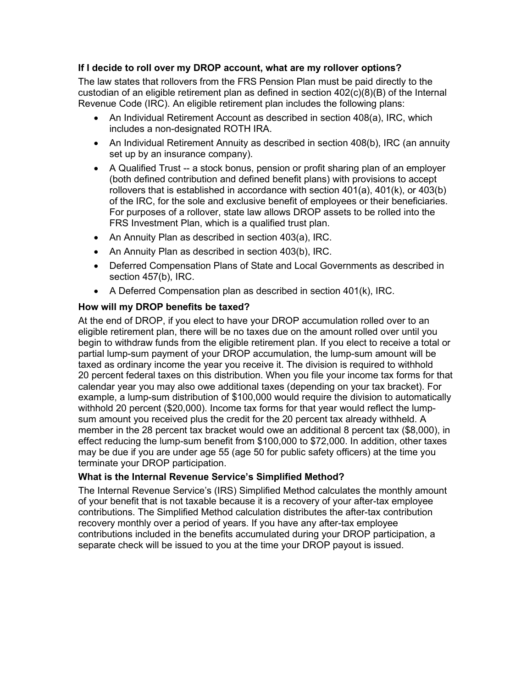#### **If I decide to roll over my DROP account, what are my rollover options?**

The law states that rollovers from the FRS Pension Plan must be paid directly to the custodian of an eligible retirement plan as defined in section 402(c)(8)(B) of the Internal Revenue Code (IRC). An eligible retirement plan includes the following plans:

- An Individual Retirement Account as described in section 408(a), IRC, which includes a non-designated ROTH IRA.
- An Individual Retirement Annuity as described in section 408(b), IRC (an annuity set up by an insurance company).
- A Qualified Trust -- a stock bonus, pension or profit sharing plan of an employer (both defined contribution and defined benefit plans) with provisions to accept rollovers that is established in accordance with section 401(a), 401(k), or 403(b) of the IRC, for the sole and exclusive benefit of employees or their beneficiaries. For purposes of a rollover, state law allows DROP assets to be rolled into the FRS Investment Plan, which is a qualified trust plan.
- An Annuity Plan as described in section 403(a), IRC.
- An Annuity Plan as described in section 403(b), IRC.
- Deferred Compensation Plans of State and Local Governments as described in section 457(b), IRC.
- A Deferred Compensation plan as described in section 401(k), IRC.

#### **How will my DROP benefits be taxed?**

At the end of DROP, if you elect to have your DROP accumulation rolled over to an eligible retirement plan, there will be no taxes due on the amount rolled over until you begin to withdraw funds from the eligible retirement plan. If you elect to receive a total or partial lump-sum payment of your DROP accumulation, the lump-sum amount will be taxed as ordinary income the year you receive it. The division is required to withhold 20 percent federal taxes on this distribution. When you file your income tax forms for that calendar year you may also owe additional taxes (depending on your tax bracket). For example, a lump-sum distribution of \$100,000 would require the division to automatically withhold 20 percent (\$20,000). Income tax forms for that year would reflect the lumpsum amount you received plus the credit for the 20 percent tax already withheld. A member in the 28 percent tax bracket would owe an additional 8 percent tax (\$8,000), in effect reducing the lump-sum benefit from \$100,000 to \$72,000. In addition, other taxes may be due if you are under age 55 (age 50 for public safety officers) at the time you terminate your DROP participation.

### **What is the Internal Revenue Service's Simplified Method?**

The Internal Revenue Service's (IRS) Simplified Method calculates the monthly amount of your benefit that is not taxable because it is a recovery of your after-tax employee contributions. The Simplified Method calculation distributes the after-tax contribution recovery monthly over a period of years. If you have any after-tax employee contributions included in the benefits accumulated during your DROP participation, a separate check will be issued to you at the time your DROP payout is issued.